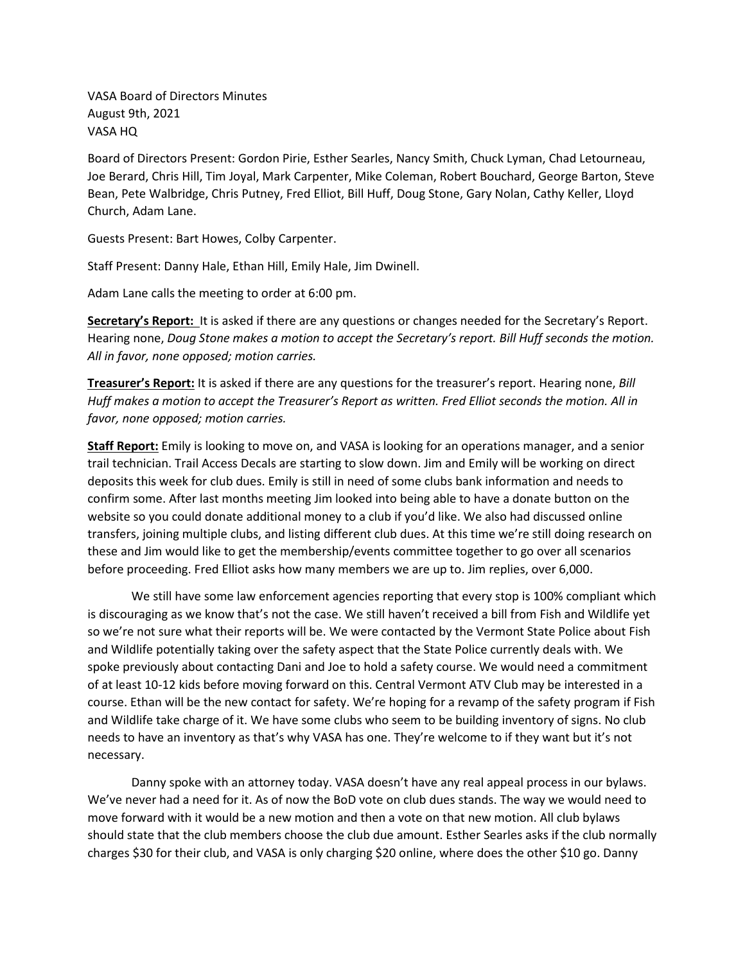VASA Board of Directors Minutes August 9th, 2021 VASA HQ

Board of Directors Present: Gordon Pirie, Esther Searles, Nancy Smith, Chuck Lyman, Chad Letourneau, Joe Berard, Chris Hill, Tim Joyal, Mark Carpenter, Mike Coleman, Robert Bouchard, George Barton, Steve Bean, Pete Walbridge, Chris Putney, Fred Elliot, Bill Huff, Doug Stone, Gary Nolan, Cathy Keller, Lloyd Church, Adam Lane.

Guests Present: Bart Howes, Colby Carpenter.

Staff Present: Danny Hale, Ethan Hill, Emily Hale, Jim Dwinell.

Adam Lane calls the meeting to order at 6:00 pm.

**Secretary's Report:** It is asked if there are any questions or changes needed for the Secretary's Report. Hearing none, *Doug Stone makes a motion to accept the Secretary's report. Bill Huff seconds the motion. All in favor, none opposed; motion carries.* 

**Treasurer's Report:** It is asked if there are any questions for the treasurer's report. Hearing none, *Bill Huff makes a motion to accept the Treasurer's Report as written. Fred Elliot seconds the motion. All in favor, none opposed; motion carries.* 

**Staff Report:** Emily is looking to move on, and VASA is looking for an operations manager, and a senior trail technician. Trail Access Decals are starting to slow down. Jim and Emily will be working on direct deposits this week for club dues. Emily is still in need of some clubs bank information and needs to confirm some. After last months meeting Jim looked into being able to have a donate button on the website so you could donate additional money to a club if you'd like. We also had discussed online transfers, joining multiple clubs, and listing different club dues. At this time we're still doing research on these and Jim would like to get the membership/events committee together to go over all scenarios before proceeding. Fred Elliot asks how many members we are up to. Jim replies, over 6,000.

We still have some law enforcement agencies reporting that every stop is 100% compliant which is discouraging as we know that's not the case. We still haven't received a bill from Fish and Wildlife yet so we're not sure what their reports will be. We were contacted by the Vermont State Police about Fish and Wildlife potentially taking over the safety aspect that the State Police currently deals with. We spoke previously about contacting Dani and Joe to hold a safety course. We would need a commitment of at least 10-12 kids before moving forward on this. Central Vermont ATV Club may be interested in a course. Ethan will be the new contact for safety. We're hoping for a revamp of the safety program if Fish and Wildlife take charge of it. We have some clubs who seem to be building inventory of signs. No club needs to have an inventory as that's why VASA has one. They're welcome to if they want but it's not necessary.

Danny spoke with an attorney today. VASA doesn't have any real appeal process in our bylaws. We've never had a need for it. As of now the BoD vote on club dues stands. The way we would need to move forward with it would be a new motion and then a vote on that new motion. All club bylaws should state that the club members choose the club due amount. Esther Searles asks if the club normally charges \$30 for their club, and VASA is only charging \$20 online, where does the other \$10 go. Danny